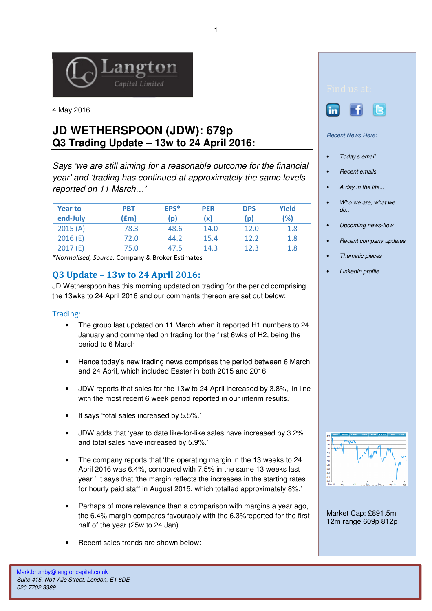

4 May 2016

# **JD WETHERSPOON (JDW): 679p Q3 Trading Update – 13w to 24 April 2016:**

Says 'we are still aiming for a reasonable outcome for the financial year' and 'trading has continued at approximately the same levels reported on 11 March…'

| <b>Year to</b> | <b>PBT</b> | EPS* | <b>PER</b> | <b>DPS</b> | <b>Yield</b> |
|----------------|------------|------|------------|------------|--------------|
| end-July       | (£m)       | (p)  | (x)        | (p         | (%)          |
| 2015(A)        | 78.3       | 48.6 | 14.0       | 12.0       | 1.8          |
| 2016(E)        | 72.0       | 44.2 | 15.4       | 12.2       | 1.8          |
| 2017(E)        | 75.0       | 47.5 | 14.3       | 12.3       | 1.8          |

\*Normalised, Source: Company & Broker Estimates

## Q3 Update – 13w to 24 April 2016:

JD Wetherspoon has this morning updated on trading for the period comprising the 13wks to 24 April 2016 and our comments thereon are set out below:

### Trading:

- The group last updated on 11 March when it reported H1 numbers to 24 January and commented on trading for the first 6wks of H2, being the period to 6 March
- Hence today's new trading news comprises the period between 6 March and 24 April, which included Easter in both 2015 and 2016
- JDW reports that sales for the 13w to 24 April increased by 3.8%, 'in line with the most recent 6 week period reported in our interim results.'
- It says 'total sales increased by 5.5%.'
- JDW adds that 'year to date like-for-like sales have increased by 3.2% and total sales have increased by 5.9%.'
- The company reports that 'the operating margin in the 13 weeks to 24 April 2016 was 6.4%, compared with 7.5% in the same 13 weeks last year.' It says that 'the margin reflects the increases in the starting rates for hourly paid staff in August 2015, which totalled approximately 8%.'
- Perhaps of more relevance than a comparison with margins a year ago, the 6.4% margin compares favourably with the 6.3%reported for the first half of the year (25w to 24 Jan).
- Recent sales trends are shown below:



Recent News Here:

- Today's email
- Recent emails
- A day in the life...
- Who we are, what we do...
- Upcoming news-flow
- Recent company updates
- Thematic pieces
- LinkedIn profile



Market Cap: £891.5m 12m range 609p 812p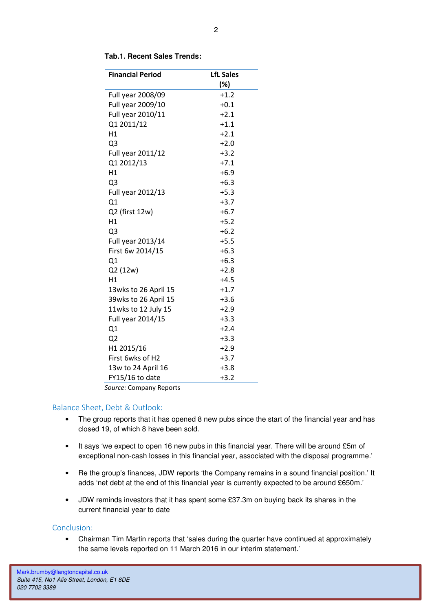| <b>Financial Period</b> | <b>LfL Sales</b> |  |
|-------------------------|------------------|--|
|                         | (%)              |  |
| Full year 2008/09       | $+1.2$           |  |
| Full year 2009/10       | $+0.1$           |  |
| Full year 2010/11       | $+2.1$           |  |
| Q1 2011/12              | $+1.1$           |  |
| H1                      | $+2.1$           |  |
| Q <sub>3</sub>          | $+2.0$           |  |
| Full year 2011/12       | $+3.2$           |  |
| Q1 2012/13              | $+7.1$           |  |
| H1                      | $+6.9$           |  |
| Q <sub>3</sub>          | $+6.3$           |  |
| Full year 2012/13       | $+5.3$           |  |
| Q1                      | $+3.7$           |  |
| Q2 (first 12w)          | $+6.7$           |  |
| H1                      | $+5.2$           |  |
| Q <sub>3</sub>          | $+6.2$           |  |
| Full year 2013/14       | $+5.5$           |  |
| First 6w 2014/15        | $+6.3$           |  |
| Q1                      | $+6.3$           |  |
| Q2 (12w)                | $+2.8$           |  |
| H1                      | $+4.5$           |  |
| 13wks to 26 April 15    | $+1.7$           |  |
| 39wks to 26 April 15    | $+3.6$           |  |
| 11wks to 12 July 15     | $+2.9$           |  |
| Full year 2014/15       | $+3.3$           |  |
| Q1                      | $+2.4$           |  |
| Q <sub>2</sub>          | $+3.3$           |  |
| H1 2015/16              | $+2.9$           |  |
| First 6wks of H2        | $+3.7$           |  |
| 13w to 24 April 16      | $+3.8$           |  |
| FY15/16 to date         | $+3.2$           |  |

#### **Tab.1. Recent Sales Trends:**

Source: Company Reports

#### Balance Sheet, Debt & Outlook:

- The group reports that it has opened 8 new pubs since the start of the financial year and has closed 19, of which 8 have been sold.
- It says 'we expect to open 16 new pubs in this financial year. There will be around £5m of exceptional non-cash losses in this financial year, associated with the disposal programme.'
- Re the group's finances, JDW reports 'the Company remains in a sound financial position.' It adds 'net debt at the end of this financial year is currently expected to be around £650m.'
- JDW reminds investors that it has spent some £37.3m on buying back its shares in the current financial year to date

#### Conclusion:

• Chairman Tim Martin reports that 'sales during the quarter have continued at approximately the same levels reported on 11 March 2016 in our interim statement.'